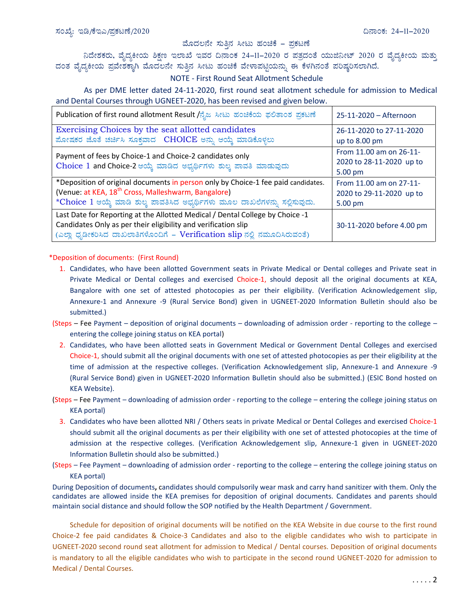## ಮೊದಲನೇ ಸುತ್ತಿನ ಸೀಟು ಹಂಚಿಕೆ - ಪ್ರಕಟಣೆ

ನಿದೇಶಕರು, ವೈದ್ಯಕೀಯ ಶಿಕ್ಷಣ ಇಲಾಖೆ ಇವರ ದಿನಾಂಕ 24–11–2020 ರ ಪತ್ರದಂತೆ ಯುಜಿನೀಟ್ 2020 ರ ವೈದ್ಯಕೀಯ ಮತ್ತು<br>ದಂತ ವೈದ್ಯಕೀಯ ಪ್ರವೇಶಕ್ಕಾಗಿ ಮೊದಲನೇ ಸುತ್ತಿನ ಸೀಟು ಹಂಚಿಕೆ ವೇಳಾಪಟ್ಟಿಯನ್ನು ಈ ಕೆಳಗಿನಂತೆ ಪರಿಷ್ಕರಿಸಲಾಗಿದೆ.

## NOTE - First Round Seat Allotment Schedule

As per DME letter dated 24-11-2020, first round seat allotment schedule for admission to Medical and Dental Courses through UGNEET-2020, has been revised and given below.

| Publication of first round allotment Result /ನೈಜ ಸೀಟು ಹಂಚಿಕೆಯ ಫಲಿತಾಂಶ ಪ್ರಕಟಣೆ     | 25-11-2020 – Afternoon    |
|-----------------------------------------------------------------------------------|---------------------------|
| Exercising Choices by the seat allotted candidates                                | 26-11-2020 to 27-11-2020  |
| ಮೋಷಕರ ಜೊತೆ ಚರ್ಚಿಸಿ ಸೂಕ್ತವಾದ CHOICE ಅನ್ನು ಆಯ್ಕೆ ಮಾಡಿಕೊಳ್ಳಲು                        | up to 8.00 pm             |
| Payment of fees by Choice-1 and Choice-2 candidates only                          | From 11.00 am on 26-11-   |
| Choice 1 and Choice-2 ಆಯ್ಕೆ ಮಾಡಿದ ಅಭ್ಯರ್ಥಿಗಳು ಶುಲ್ಕ ಪಾವತಿ ಮಾಡುವುದು                | 2020 to 28-11-2020 up to  |
|                                                                                   | 5.00 pm                   |
| *Deposition of original documents in person only by Choice-1 fee paid candidates. | From 11.00 am on 27-11-   |
| (Venue: at KEA, 18 <sup>th</sup> Cross, Malleshwarm, Bangalore)                   | 2020 to 29-11-2020 up to  |
| *Choice 1 ಆಯ್ಕೆ ಮಾಡಿ ಶುಲ್ಕ ಪಾವತಿಸಿದ ಅಭ್ಯರ್ಥಿಗಳು ಮೂಲ ದಾಖಲೆಗಳನ್ನು ಸಲ್ಲಿಸುವುದು.      | 5.00 pm                   |
| Last Date for Reporting at the Allotted Medical / Dental College by Choice -1     |                           |
| Candidates Only as per their eligibility and verification slip                    | 30-11-2020 before 4.00 pm |
| (ಎಲ್ಲಾ ಧೃಡೀಕರಿಸಿದ ದಾಖಲಾತಿಗಳೊಂದಿಗೆ – Verification slip ನಲ್ಲಿ ನಮೂದಿಸಿರುವಂತೆ)        |                           |

## \*Deposition of documents: (First Round)

- 1. Candidates, who have been allotted Government seats in Private Medical or Dental colleges and Private seat in Private Medical or Dental colleges and exercised Choice-1, should deposit all the original documents at KEA, Bangalore with one set of attested photocopies as per their eligibility. (Verification Acknowledgement slip, Annexure-1 and Annexure -9 (Rural Service Bond) given in UGNEET-2020 Information Bulletin should also be submitted.)
- (Steps Fee Payment deposition of original documents downloading of admission order reporting to the college entering the college joining status on KEA portal)
	- 2. Candidates, who have been allotted seats in Government Medical or Government Dental Colleges and exercised Choice-1, should submit all the original documents with one set of attested photocopies as per their eligibility at the time of admission at the respective colleges. (Verification Acknowledgement slip, Annexure-1 and Annexure -9 (Rural Service Bond) given in UGNEET-2020 Information Bulletin should also be submitted.) (ESIC Bond hosted on KEA Website).
- (Steps Fee Payment downloading of admission order reporting to the college entering the college joining status on **KEA** portal)
	- 3. Candidates who have been allotted NRI / Others seats in private Medical or Dental Colleges and exercised Choice-1 should submit all the original documents as per their eligibility with one set of attested photocopies at the time of admission at the respective colleges. (Verification Acknowledgement slip, Annexure-1 given in UGNEET-2020 Information Bulletin should also be submitted.)
- (Steps Fee Payment downloading of admission order reporting to the college entering the college joining status on **KEA** portal)

During Deposition of documents, candidates should compulsorily wear mask and carry hand sanitizer with them. Only the candidates are allowed inside the KEA premises for deposition of original documents. Candidates and parents should maintain social distance and should follow the SOP notified by the Health Department / Government.

Schedule for deposition of original documents will be notified on the KEA Website in due course to the first round Choice-2 fee paid candidates & Choice-3 Candidates and also to the eligible candidates who wish to participate in UGNEET-2020 second round seat allotment for admission to Medical / Dental courses. Deposition of original documents is mandatory to all the eligible candidates who wish to participate in the second round UGNEET-2020 for admission to Medical / Dental Courses.